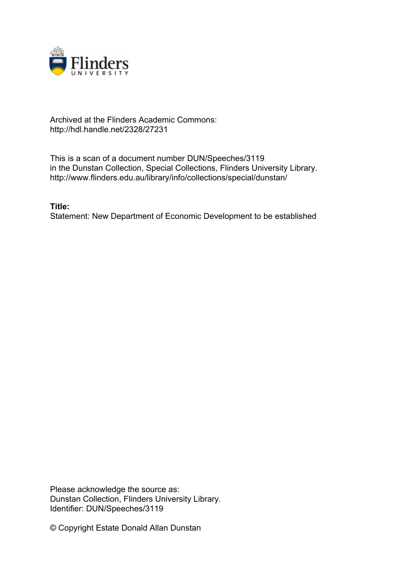

## Archived at the Flinders Academic Commons: http://hdl.handle.net/2328/27231

This is a scan of a document number DUN/Speeches/3119 in the Dunstan Collection, Special Collections, Flinders University Library. http://www.flinders.edu.au/library/info/collections/special/dunstan/

**Title:** Statement: New Department of Economic Development to be established

Please acknowledge the source as: Dunstan Collection, Flinders University Library. Identifier: DUN/Speeches/3119

© Copyright Estate Donald Allan Dunstan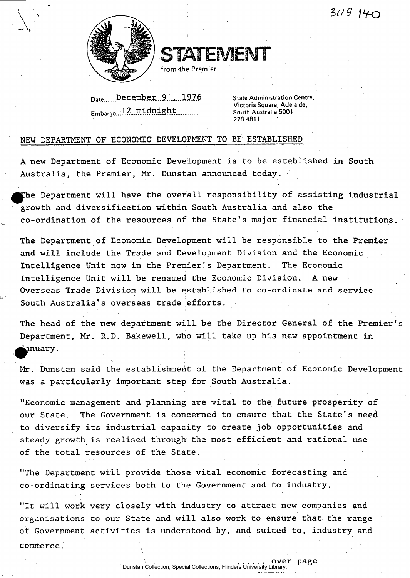*\*>lt<3 <ILK3* 



STATEMENT

from the Premier

Date December 9...1976 Embargo...12.midnight

**State Administration Centre, Victoria Square, Adelaide, South Australia 5001 228 4811** 

## NEW DEPARTMENT OF ECONOMIC DEVELOPMENT TO BE ESTABLISHED

A new Department of Economic Development is to be established in South Australia, the Premier, Mr. Dunstan announced today.

The Department will have the overall responsibility of assisting industrial growth and diversification within South Australia and also the co-ordination of the resources of the State's major financial institutions.

The Department of Economic Development will be responsible to the Premier and will include the Trade and Development Division and the Economic Intelligence Unit now in the Premier's Department. The Economic Intelligence Unit will be renamed the Economic Division. A new Overseas Trade Division will be established to co-ordinate and service South Australia's overseas trade efforts.

The head of the new department will be the Director General of the Premier's **i**  Department, Mr. R.D. Bakewell, who will take up his new appointment in ^^anuary.

Mr. Dunstan said the establishment of the Department of Economic Development was a particularly important step for South Australia.

"Economic management and planning are vital to the future prosperity of our State. The Government is concerned to ensure that the State's need to diversify its industrial capacity to create job opportunities and steady growth is realised through the most efficient and rational use of the total resources of the State.

"The Department will provide those vital economic forecasting and co-ordinating services both to the Government and to industry.

"It will work very closely with industry to attract new companies and organisations to our State and will also work to ensure that the range of Government activities is understood by, and suited to, industry and commerce.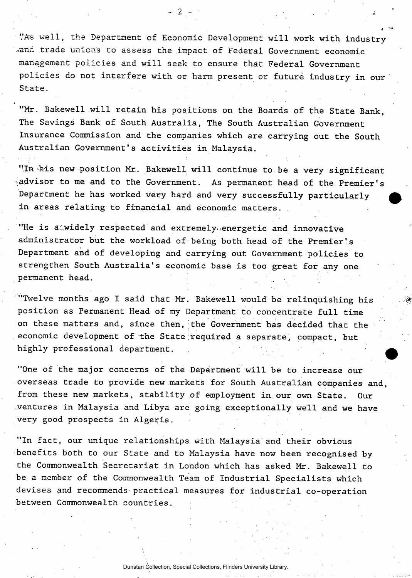VAs well, the Department of Economic Development will work with industry and trade unions to assess the impact of Federal Government economic management policies and will seek to ensure that Federal Government policies do not interfere with or harm present or future industry in our State.

 $-2$  -

"Mr. Bakewell will retain his positions on the Boards of the State Bank, The Savings Bank of South Australia, The South Australian Government Insurance Commission and the companies which are carrying out the South Australian Government's activities in Malaysia.

"In this new position Mr. Bakewell will continue to be a very significant .advisor to me and to the Government. As permanent head of the Premier's Department he has worked very hard and very successfully particularly in areas relating to financial and economic matters.

"He is a widely respected and extremely energetic and innovative administrator but the workload of being both head of the Premier's Department and of developing and carrying out. Government policies to strengthen South Australia's economic base is too great for any one permanent head.

"Twelve months ago I said that Mr. Bakewell would be relinquishing his position as Permanent Head of my Department to concentrate full time on these matters and, since then, the Government has decided that the economic development of the State required a separate, compact, but highly professional department.

"One of the major concerns of the Department will be to increase our overseas trade to provide new markets "for South Australian companies and, from these new markets, stability of employment in our own State. ventures in Malaysia and Libya are going exceptionally well and we have very good prospects in Algeria.

"In fact, our unique relationships with Malaysia and their obvious benefits both to our State and to Malaysia have now been recognised by the Commonwealth Secretariat in London which has asked Mr. Bakewell to be a member of the Commonwealth Team of Industrial Specialists which devises and recommends practical measures for industrial co-operation between Commonwealth countries.